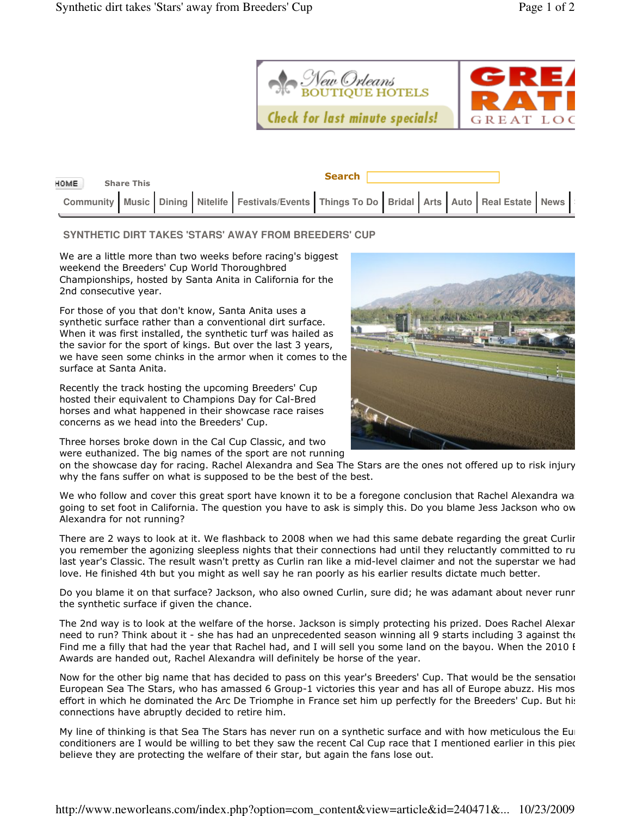

| HOME.<br><b>Share This</b>                                                                      |  | <b>Search</b> |  |  |  |
|-------------------------------------------------------------------------------------------------|--|---------------|--|--|--|
| Community Music Dining Nitelife Festivals/Events Things To Do Bridal Arts Auto Real Estate News |  |               |  |  |  |

## **SYNTHETIC DIRT TAKES 'STARS' AWAY FROM BREEDERS' CUP**

We are a little more than two weeks before racing's biggest weekend the Breeders' Cup World Thoroughbred Championships, hosted by Santa Anita in California for the 2nd consecutive year.

For those of you that don't know, Santa Anita uses a synthetic surface rather than a conventional dirt surface. When it was first installed, the synthetic turf was hailed as the savior for the sport of kings. But over the last 3 years, we have seen some chinks in the armor when it comes to the surface at Santa Anita.

Recently the track hosting the upcoming Breeders' Cup hosted their equivalent to Champions Day for Cal-Bred horses and what happened in their showcase race raises concerns as we head into the Breeders' Cup.

Three horses broke down in the Cal Cup Classic, and two were euthanized. The big names of the sport are not running



on the showcase day for racing. Rachel Alexandra and Sea The Stars are the ones not offered up to risk injury why the fans suffer on what is supposed to be the best of the best.

We who follow and cover this great sport have known it to be a foregone conclusion that Rachel Alexandra wa going to set foot in California. The question you have to ask is simply this. Do you blame Jess Jackson who ow Alexandra for not running?

There are 2 ways to look at it. We flashback to 2008 when we had this same debate regarding the great Curlin. you remember the agonizing sleepless nights that their connections had until they reluctantly committed to ru last year's Classic. The result wasn't pretty as Curlin ran like a mid-level claimer and not the superstar we had love. He finished 4th but you might as well say he ran poorly as his earlier results dictate much better.

Do you blame it on that surface? Jackson, who also owned Curlin, sure did; he was adamant about never runr the synthetic surface if given the chance.

The 2nd way is to look at the welfare of the horse. Jackson is simply protecting his prized. Does Rachel Alexar need to run? Think about it - she has had an unprecedented season winning all 9 starts including 3 against the Find me a filly that had the year that Rachel had, and I will sell you some land on the bayou. When the 2010 I Awards are handed out, Rachel Alexandra will definitely be horse of the year.

Now for the other big name that has decided to pass on this year's Breeders' Cup. That would be the sensation European Sea The Stars, who has amassed 6 Group-1 victories this year and has all of Europe abuzz. His mos effort in which he dominated the Arc De Triomphe in France set him up perfectly for the Breeders' Cup. But his connections have abruptly decided to retire him.

My line of thinking is that Sea The Stars has never run on a synthetic surface and with how meticulous the Eur conditioners are I would be willing to bet they saw the recent Cal Cup race that I mentioned earlier in this piec believe they are protecting the welfare of their star, but again the fans lose out.